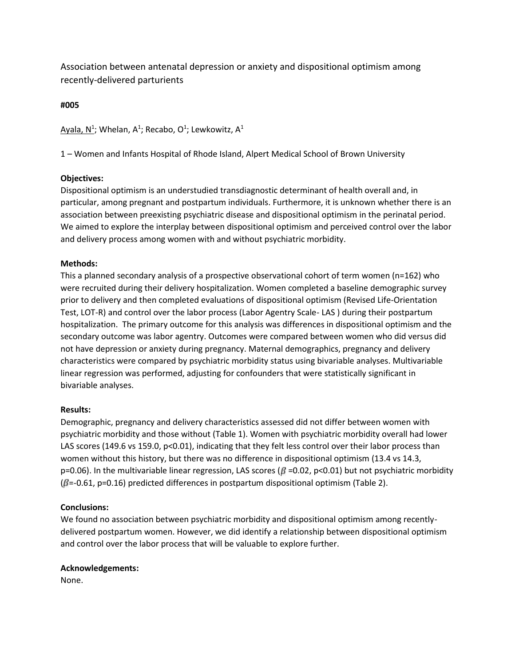Association between antenatal depression or anxiety and dispositional optimism among recently-delivered parturients

### **#005**

Ayala, N<sup>1</sup>; Whelan, A<sup>1</sup>; Recabo, O<sup>1</sup>; Lewkowitz, A<sup>1</sup>

1 – Women and Infants Hospital of Rhode Island, Alpert Medical School of Brown University

# **Objectives:**

Dispositional optimism is an understudied transdiagnostic determinant of health overall and, in particular, among pregnant and postpartum individuals. Furthermore, it is unknown whether there is an association between preexisting psychiatric disease and dispositional optimism in the perinatal period. We aimed to explore the interplay between dispositional optimism and perceived control over the labor and delivery process among women with and without psychiatric morbidity.

# **Methods:**

This a planned secondary analysis of a prospective observational cohort of term women (n=162) who were recruited during their delivery hospitalization. Women completed a baseline demographic survey prior to delivery and then completed evaluations of dispositional optimism (Revised Life-Orientation Test, LOT-R) and control over the labor process (Labor Agentry Scale- LAS ) during their postpartum hospitalization. The primary outcome for this analysis was differences in dispositional optimism and the secondary outcome was labor agentry. Outcomes were compared between women who did versus did not have depression or anxiety during pregnancy. Maternal demographics, pregnancy and delivery characteristics were compared by psychiatric morbidity status using bivariable analyses. Multivariable linear regression was performed, adjusting for confounders that were statistically significant in bivariable analyses.

### **Results:**

Demographic, pregnancy and delivery characteristics assessed did not differ between women with psychiatric morbidity and those without (Table 1). Women with psychiatric morbidity overall had lower LAS scores (149.6 vs 159.0, p<0.01), indicating that they felt less control over their labor process than women without this history, but there was no difference in dispositional optimism (13.4 vs 14.3, p=0.06). In the multivariable linear regression, LAS scores ( $\beta$  =0.02, p<0.01) but not psychiatric morbidity  $(\beta = -0.61, p = 0.16)$  predicted differences in postpartum dispositional optimism (Table 2).

# **Conclusions:**

We found no association between psychiatric morbidity and dispositional optimism among recently delivered postpartum women. However, we did identify a relationship between dispositional optimism and control over the labor process that will be valuable to explore further.

### **Acknowledgements:**

None.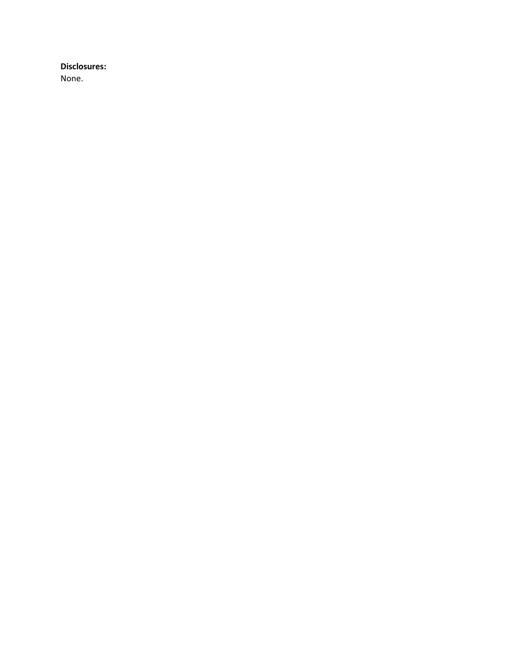### **Disclosures:**

None.